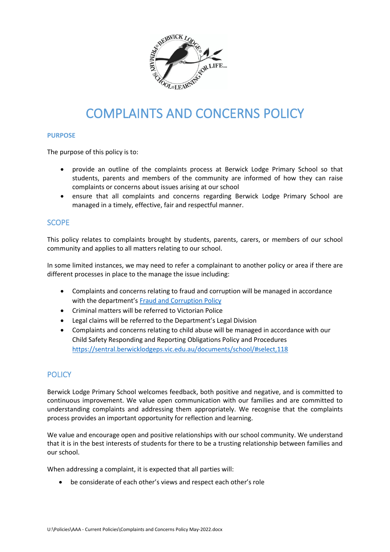

# COMPLAINTS AND CONCERNS POLICY

#### **PURPOSE**

The purpose of this policy is to:

- provide an outline of the complaints process at Berwick Lodge Primary School so that students, parents and members of the community are informed of how they can raise complaints or concerns about issues arising at our school
- ensure that all complaints and concerns regarding Berwick Lodge Primary School are managed in a timely, effective, fair and respectful manner.

# **SCOPE**

This policy relates to complaints brought by students, parents, carers, or members of our school community and applies to all matters relating to our school.

In some limited instances, we may need to refer a complainant to another policy or area if there are different processes in place to the manage the issue including:

- Complaints and concerns relating to fraud and corruption will be managed in accordance with the department's [Fraud and Corruption Policy](https://www2.education.vic.gov.au/pal/report-fraud-or-corruption/overview)
- Criminal matters will be referred to Victorian Police
- Legal claims will be referred to the Department's Legal Division
- Complaints and concerns relating to child abuse will be managed in accordance with our Child Safety Responding and Reporting Obligations Policy and Procedures <https://sentral.berwicklodgeps.vic.edu.au/documents/school/#select,118>

# **POLICY**

Berwick Lodge Primary School welcomes feedback, both positive and negative, and is committed to continuous improvement. We value open communication with our families and are committed to understanding complaints and addressing them appropriately. We recognise that the complaints process provides an important opportunity for reflection and learning.

We value and encourage open and positive relationships with our school community. We understand that it is in the best interests of students for there to be a trusting relationship between families and our school.

When addressing a complaint, it is expected that all parties will:

• be considerate of each other's views and respect each other's role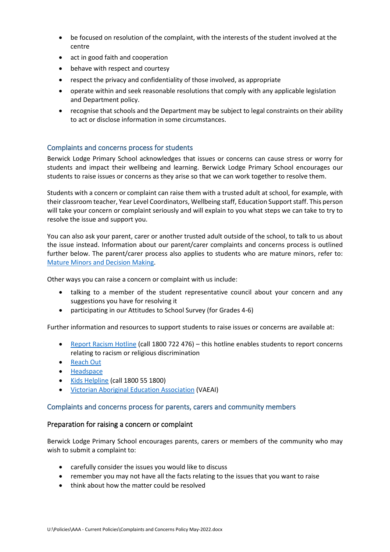- be focused on resolution of the complaint, with the interests of the student involved at the centre
- act in good faith and cooperation
- behave with respect and courtesy
- respect the privacy and confidentiality of those involved, as appropriate
- operate within and seek reasonable resolutions that comply with any applicable legislation and Department policy.
- recognise that schools and the Department may be subject to legal constraints on their ability to act or disclose information in some circumstances.

# Complaints and concerns process for students

Berwick Lodge Primary School acknowledges that issues or concerns can cause stress or worry for students and impact their wellbeing and learning. Berwick Lodge Primary School encourages our students to raise issues or concerns as they arise so that we can work together to resolve them.

Students with a concern or complaint can raise them with a trusted adult at school, for example, with their classroom teacher, Year Level Coordinators, Wellbeing staff, Education Support staff. This person will take your concern or complaint seriously and will explain to you what steps we can take to try to resolve the issue and support you.

You can also ask your parent, carer or another trusted adult outside of the school, to talk to us about the issue instead. Information about our parent/carer complaints and concerns process is outlined further below. The parent/carer process also applies to students who are mature minors, refer to: [Mature Minors and Decision Making.](https://www2.education.vic.gov.au/pal/mature-minors-and-decision-making/policy)

Other ways you can raise a concern or complaint with us include:

- talking to a member of the student representative council about your concern and any suggestions you have for resolving it
- participating in our Attitudes to School Survey (for Grades 4-6)

Further information and resources to support students to raise issues or concerns are available at:

- [Report Racism Hotline](https://www.vic.gov.au/report-racism-or-religious-discrimination-schools) (call 1800 722 476) this hotline enables students to report concerns relating to racism or religious discrimination
- [Reach Out](https://au.reachout.com/?gclid=CjwKCAiAgbiQBhAHEiwAuQ6BktaB5xneGFK3TnOql5c5eZ7af7dDm9ffLZa7N59FEtbtQzVIk8sGWhoC8N0QAvD_BwE)
- [Headspace](https://headspace.org.au/)
- [Kids Helpline](https://kidshelpline.com.au/?gclid=CjwKCAiAgbiQBhAHEiwAuQ6Bkro6UD2EBcRILznFnRhKjfi5I84jJlUa0fyiiYLQ4mHx5sXTStxH8BoCCEIQAvD_BwE) (call 1800 55 1800)
- [Victorian Aboriginal Education Association](https://www.vaeai.org.au/) (VAEAI)

## Complaints and concerns process for parents, carers and community members

## Preparation for raising a concern or complaint

Berwick Lodge Primary School encourages parents, carers or members of the community who may wish to submit a complaint to:

- carefully consider the issues you would like to discuss
- remember you may not have all the facts relating to the issues that you want to raise
- think about how the matter could be resolved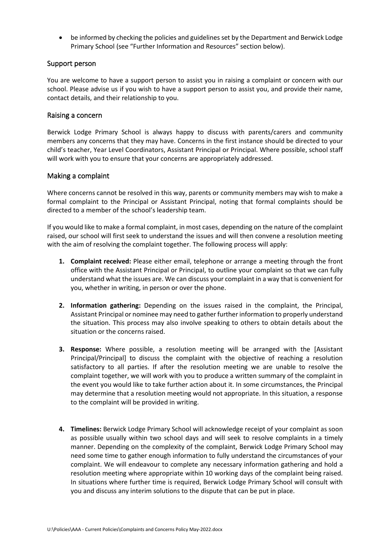• be informed by checking the policies and guidelines set by the Department and Berwick Lodge Primary School (see "Further Information and Resources" section below).

## Support person

You are welcome to have a support person to assist you in raising a complaint or concern with our school. Please advise us if you wish to have a support person to assist you, and provide their name, contact details, and their relationship to you.

#### Raising a concern

Berwick Lodge Primary School is always happy to discuss with parents/carers and community members any concerns that they may have. Concerns in the first instance should be directed to your child's teacher, Year Level Coordinators, Assistant Principal or Principal. Where possible, school staff will work with you to ensure that your concerns are appropriately addressed.

#### Making a complaint

Where concerns cannot be resolved in this way, parents or community members may wish to make a formal complaint to the Principal or Assistant Principal, noting that formal complaints should be directed to a member of the school's leadership team.

If you would like to make a formal complaint, in most cases, depending on the nature of the complaint raised, our school will first seek to understand the issues and will then convene a resolution meeting with the aim of resolving the complaint together. The following process will apply:

- **1. Complaint received:** Please either email, telephone or arrange a meeting through the front office with the Assistant Principal or Principal, to outline your complaint so that we can fully understand what the issues are. We can discuss your complaint in a way that is convenient for you, whether in writing, in person or over the phone.
- **2. Information gathering:** Depending on the issues raised in the complaint, the Principal, Assistant Principal or nominee may need to gather further information to properly understand the situation. This process may also involve speaking to others to obtain details about the situation or the concerns raised.
- **3. Response:** Where possible, a resolution meeting will be arranged with the [Assistant Principal/Principal] to discuss the complaint with the objective of reaching a resolution satisfactory to all parties. If after the resolution meeting we are unable to resolve the complaint together, we will work with you to produce a written summary of the complaint in the event you would like to take further action about it. In some circumstances, the Principal may determine that a resolution meeting would not appropriate. In this situation, a response to the complaint will be provided in writing.
- **4. Timelines:** Berwick Lodge Primary School will acknowledge receipt of your complaint as soon as possible usually within two school days and will seek to resolve complaints in a timely manner. Depending on the complexity of the complaint, Berwick Lodge Primary School may need some time to gather enough information to fully understand the circumstances of your complaint. We will endeavour to complete any necessary information gathering and hold a resolution meeting where appropriate within 10 working days of the complaint being raised. In situations where further time is required, Berwick Lodge Primary School will consult with you and discuss any interim solutions to the dispute that can be put in place.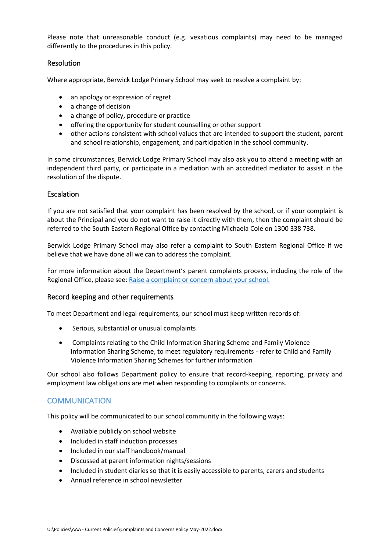Please note that unreasonable conduct (e.g. vexatious complaints) may need to be managed differently to the procedures in this policy.

## **Resolution**

Where appropriate, Berwick Lodge Primary School may seek to resolve a complaint by:

- an apology or expression of regret
- a change of decision
- a change of policy, procedure or practice
- offering the opportunity for student counselling or other support
- other actions consistent with school values that are intended to support the student, parent and school relationship, engagement, and participation in the school community.

In some circumstances, Berwick Lodge Primary School may also ask you to attend a meeting with an independent third party, or participate in a mediation with an accredited mediator to assist in the resolution of the dispute.

## Escalation

If you are not satisfied that your complaint has been resolved by the school, or if your complaint is about the Principal and you do not want to raise it directly with them, then the complaint should be referred to the South Eastern Regional Office by contacting Michaela Cole on 1300 338 738.

Berwick Lodge Primary School may also refer a complaint to South Eastern Regional Office if we believe that we have done all we can to address the complaint.

For more information about the Department's parent complaints process, including the role of the Regional Office, please see: [Raise a complaint or concern about your school.](https://www.vic.gov.au/raise-complaint-or-concern-about-your-school#speaking-to-your-school)

#### Record keeping and other requirements

To meet Department and legal requirements, our school must keep written records of:

- Serious, substantial or unusual complaints
- Complaints relating to the Child Information Sharing Scheme and Family Violence Information Sharing Scheme, to meet regulatory requirements - refer to Child and Family Violence Information Sharing Schemes for further information

Our school also follows Department policy to ensure that record-keeping, reporting, privacy and employment law obligations are met when responding to complaints or concerns.

## **COMMUNICATION**

This policy will be communicated to our school community in the following ways:

- Available publicly on school website
- Included in staff induction processes
- Included in our staff handbook/manual
- Discussed at parent information nights/sessions
- Included in student diaries so that it is easily accessible to parents, carers and students
- Annual reference in school newsletter